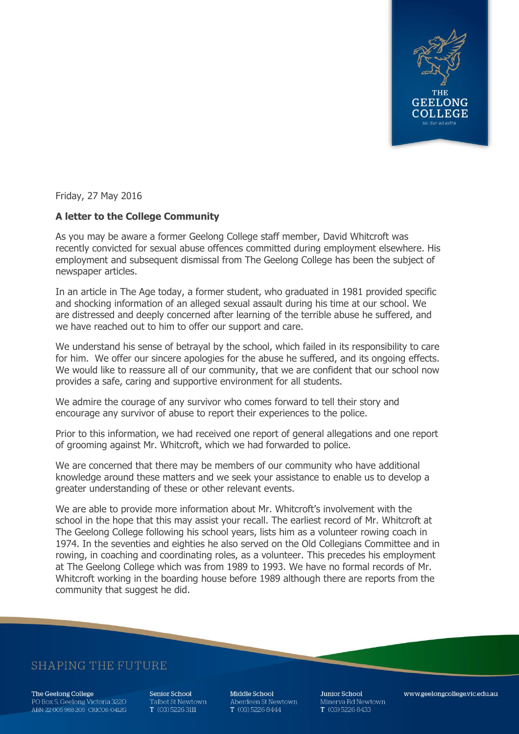

Friday, 27 May 2016

## **A letter to the College Community**

As you may be aware a former Geelong College staff member, David Whitcroft was recently convicted for sexual abuse offences committed during employment elsewhere. His employment and subsequent dismissal from The Geelong College has been the subject of newspaper articles.

In an article in The Age today, a former student, who graduated in 1981 provided specific and shocking information of an alleged sexual assault during his time at our school. We are distressed and deeply concerned after learning of the terrible abuse he suffered, and we have reached out to him to offer our support and care.

We understand his sense of betrayal by the school, which failed in its responsibility to care for him. We offer our sincere apologies for the abuse he suffered, and its ongoing effects. We would like to reassure all of our community, that we are confident that our school now provides a safe, caring and supportive environment for all students.

We admire the courage of any survivor who comes forward to tell their story and encourage any survivor of abuse to report their experiences to the police.

Prior to this information, we had received one report of general allegations and one report of grooming against Mr. Whitcroft, which we had forwarded to police.

We are concerned that there may be members of our community who have additional knowledge around these matters and we seek your assistance to enable us to develop a greater understanding of these or other relevant events.

We are able to provide more information about Mr. Whitcroft's involvement with the school in the hope that this may assist your recall. The earliest record of Mr. Whitcroft at The Geelong College following his school years, lists him as a volunteer rowing coach in 1974. In the seventies and eighties he also served on the Old Collegians Committee and in rowing, in coaching and coordinating roles, as a volunteer. This precedes his employment at The Geelong College which was from 1989 to 1993. We have no formal records of Mr. Whitcroft working in the boarding house before 1989 although there are reports from the community that suggest he did.

## **SHAPING THE FUTURE**

The Geelong College PO Box 5, Geelong Victoria 3220 ABN: 22 005 988 205 CRICOS: 0412G Senior School Talbot St Newtown  $T(03)$  5226 3111

Middle School Aberdeen St Newtown T (03) 5226 8444

**Junior School** Minerva Rd Newtown  $T(03)$  5226 8433

www.geelongcollege.vic.edu.au